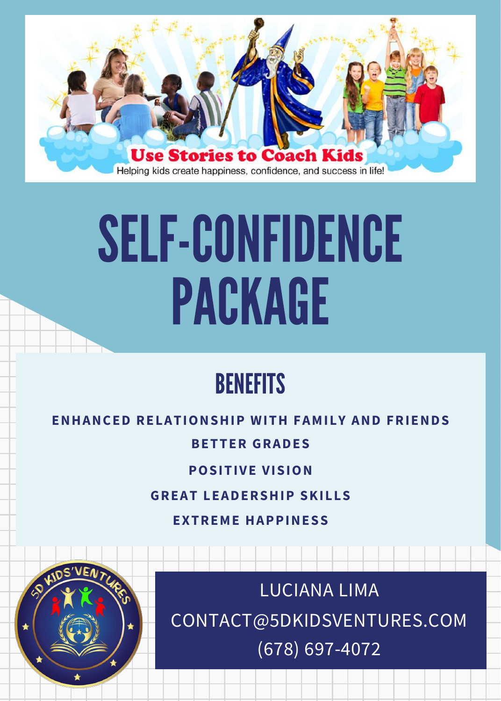

# SELF-CONFIDENCE PACKAGE

# **BENEFITS**

### **ENHANCED RELATIONSHIP WITH FAMILY AND FRIENDS**

# **BETTER GRADES**

# **POSITIVE VISION**

### **GREAT LEADERSHIP SKILLS**

**EXTREME HAPPINESS**



CONTACT@5DKIDSVENTURES.COM (678) 697-4072 LUCIANA LIMA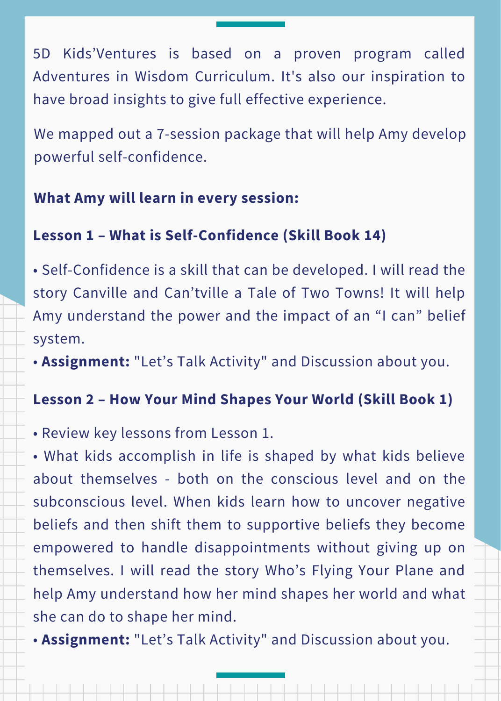5D Kids'Ventures is based on a proven program called Adventures in Wisdom Curriculum. It's also our inspiration to have broad insights to give full effective experience.

We mapped out a 7-session package that will help Amy develop powerful self-confidence.

# **What Amy will learn in every session:**

# **Lesson 1 – What is Self-Confidence (Skill Book 14)**

• Self-Confidence is a skill that can be developed. I will read the story Canville and Can'tville a Tale of Two Towns! It will help Amy understand the power and the impact of an "I can" belief system.

• **Assignment:** "Let's Talk Activity" and Discussion about you.

# **Lesson 2 – How Your Mind Shapes Your World (Skill Book 1)**

• Review key lessons from Lesson 1.

• What kids accomplish in life is shaped by what kids believe about themselves - both on the conscious level and on the subconscious level. When kids learn how to uncover negative beliefs and then shift them to supportive beliefs they become empowered to handle disappointments without giving up on themselves. I will read the story Who's Flying Your Plane and help Amy understand how her mind shapes her world and what she can do to shape her mind.

• **Assignment:** "Let's Talk Activity" and Discussion about you.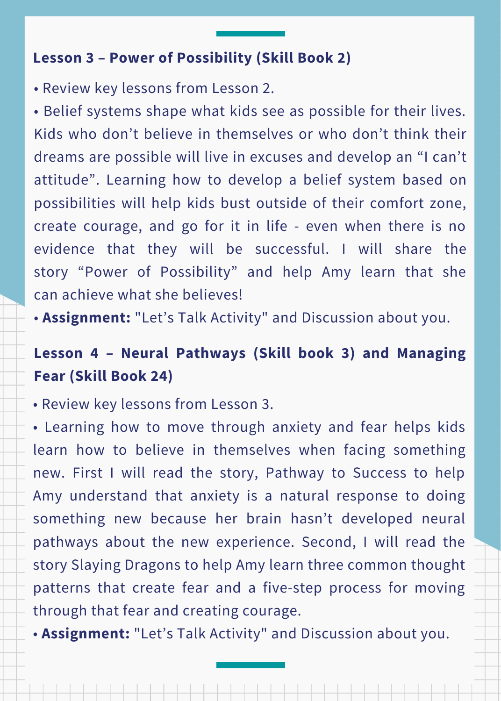# **Lesson 3 – Power of Possibility (Skill Book 2)**

• Review key lessons from Lesson 2.

• Belief systems shape what kids see as possible for their lives. Kids who don't believe in themselves or who don't think their dreams are possible will live in excuses and develop an "I can't attitude". Learning how to develop a belief system based on possibilities will help kids bust outside of their comfort zone, create courage, and go for it in life - even when there is no evidence that they will be successful. I will share the story "Power of Possibility" and help Amy learn that she can achieve what she believes!

• **Assignment:** "Let's Talk Activity" and Discussion about you.

# **Lesson 4 – Neural Pathways (Skill book 3) and Managing Fear (Skill Book 24)**

• Review key lessons from Lesson 3.

• Learning how to move through anxiety and fear helps kids learn how to believe in themselves when facing something new. First I will read the story, Pathway to Success to help Amy understand that anxiety is a natural response to doing something new because her brain hasn't developed neural pathways about the new experience. Second, I will read the story Slaying Dragons to help Amy learn three common thought patterns that create fear and a five-step process for moving through that fear and creating courage.

• **Assignment:** "Let's Talk Activity" and Discussion about you.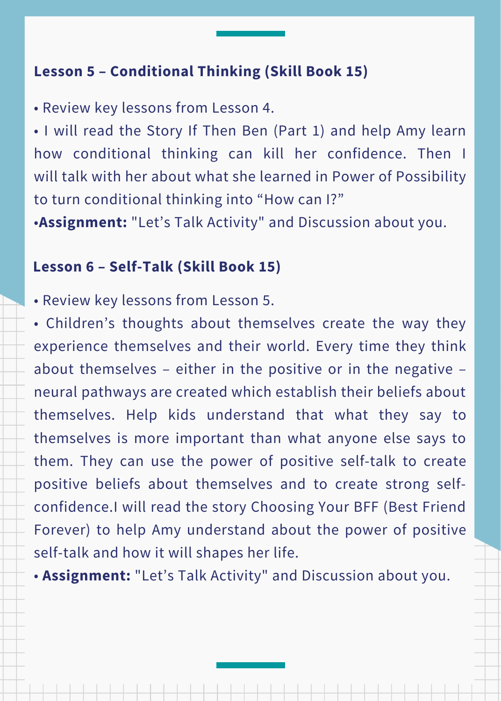# **Lesson 5 – Conditional Thinking (Skill Book 15)**

• Review key lessons from Lesson 4.

• I will read the Story If Then Ben (Part 1) and help Amy learn how conditional thinking can kill her confidence. Then I will talk with her about what she learned in Power of Possibility to turn conditional thinking into "How can I?"

•**Assignment:** "Let's Talk Activity" and Discussion about you.

### **Lesson 6 – Self-Talk (Skill Book 15)**

• Review key lessons from Lesson 5.

• Children's thoughts about themselves create the way they experience themselves and their world. Every time they think about themselves – either in the positive or in the negative – neural pathways are created which establish their beliefs about themselves. Help kids understand that what they say to themselves is more important than what anyone else says to them. They can use the power of positive self-talk to create positive beliefs about themselves and to create strong selfconfidence.I will read the story Choosing Your BFF (Best Friend Forever) to help Amy understand about the power of positive self-talk and how it will shapes her life.

• **Assignment:** "Let's Talk Activity" and Discussion about you.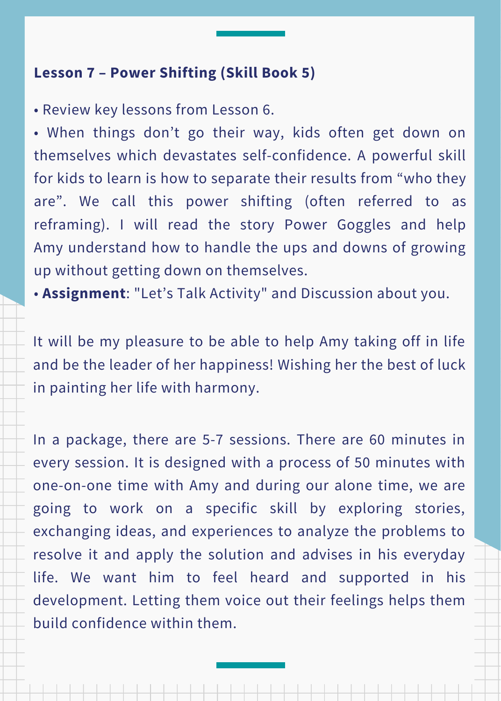# **Lesson 7 – Power Shifting (Skill Book 5)**

• Review key lessons from Lesson 6.

• When things don't go their way, kids often get down on themselves which devastates self-confidence. A powerful skill for kids to learn is how to separate their results from "who they are". We call this power shifting (often referred to as reframing). I will read the story Power Goggles and help Amy understand how to handle the ups and downs of growing up without getting down on themselves.

• **Assignment**: "Let's Talk Activity" and Discussion about you.

It will be my pleasure to be able to help Amy taking off in life and be the leader of her happiness! Wishing her the best of luck in painting her life with harmony.

In a package, there are 5-7 sessions. There are 60 minutes in every session. It is designed with a process of 50 minutes with one-on-one time with Amy and during our alone time, we are going to work on a specific skill by exploring stories, exchanging ideas, and experiences to analyze the problems to resolve it and apply the solution and advises in his everyday life. We want him to feel heard and supported in his development. Letting them voice out their feelings helps them build confidence within them.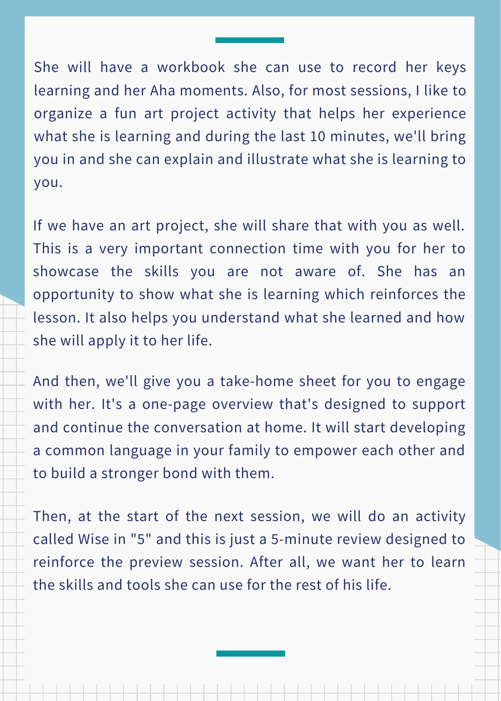She will have a workbook she can use to record her keys learning and her Aha moments. Also, for most sessions, I like to organize a fun art project activity that helps her experience what she is learning and during the last 10 minutes, we'll bring you in and she can explain and illustrate what she is learning to you.

If we have an art project, she will share that with you as well. This is a very important connection time with you for her to showcase the skills you are not aware of. She has an opportunity to show what she is learning which reinforces the lesson. It also helps you understand what she learned and how she will apply it to her life.

And then, we'll give you a take-home sheet for you to engage with her. It's a one-page overview that's designed to support and continue the conversation at home. It will start developing a common language in your family to empower each other and to build a stronger bond with them.

Then, at the start of the next session, we will do an activity called Wise in "5" and this is just a 5-minute review designed to reinforce the preview session. After all, we want her to learn the skills and tools she can use for the rest of his life.